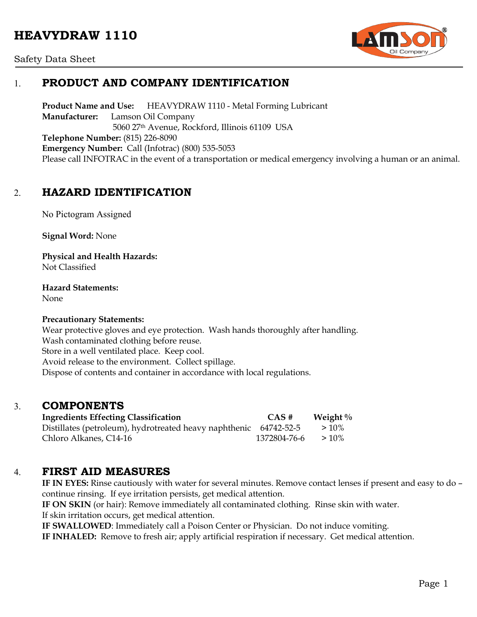# **HEAVYDRAW 1110**





# 1. **PRODUCT AND COMPANY IDENTIFICATION**

**Product Name and Use:** HEAVYDRAW 1110 - Metal Forming Lubricant **Manufacturer:** Lamson Oil Company 5060 27th Avenue, Rockford, Illinois 61109 USA **Telephone Number:** (815) 226-8090 **Emergency Number:** Call (Infotrac) (800) 535-5053 Please call INFOTRAC in the event of a transportation or medical emergency involving a human or an animal.

## 2. **HAZARD IDENTIFICATION**

No Pictogram Assigned

**Signal Word:** None

**Physical and Health Hazards:** Not Classified

**Hazard Statements:** 

None

#### **Precautionary Statements:**

Wear protective gloves and eye protection. Wash hands thoroughly after handling. Wash contaminated clothing before reuse. Store in a well ventilated place. Keep cool. Avoid release to the environment. Collect spillage. Dispose of contents and container in accordance with local regulations.

#### 3. **COMPONENTS**

| <b>Ingredients Effecting Classification</b>                       | CAS #        | Weight $\%$ |
|-------------------------------------------------------------------|--------------|-------------|
| Distillates (petroleum), hydrotreated heavy naphthenic 64742-52-5 |              | $>10\%$     |
| Chloro Alkanes, C14-16                                            | 1372804-76-6 | $>10\%$     |

### 4. **FIRST AID MEASURES**

**IF IN EYES:** Rinse cautiously with water for several minutes. Remove contact lenses if present and easy to do – continue rinsing. If eye irritation persists, get medical attention.

**IF ON SKIN** (or hair): Remove immediately all contaminated clothing. Rinse skin with water.

If skin irritation occurs, get medical attention.

**IF SWALLOWED**: Immediately call a Poison Center or Physician. Do not induce vomiting.

**IF INHALED:** Remove to fresh air; apply artificial respiration if necessary. Get medical attention.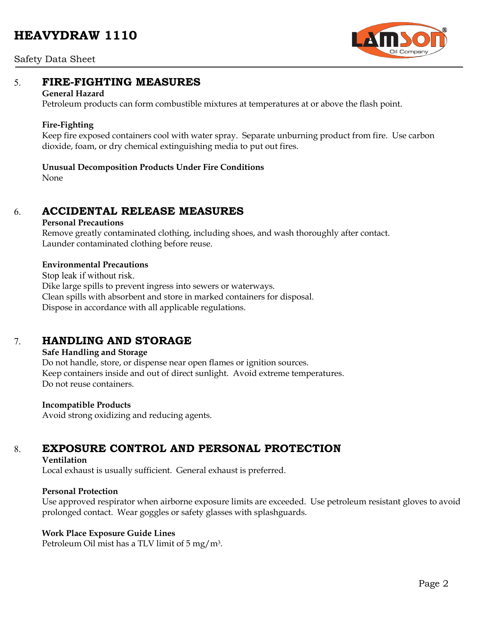# **HEAVYDRAW 1110**





## 5. **FIRE-FIGHTING MEASURES**

#### **General Hazard**

Petroleum products can form combustible mixtures at temperatures at or above the flash point.

#### **Fire-Fighting**

Keep fire exposed containers cool with water spray. Separate unburning product from fire. Use carbon dioxide, foam, or dry chemical extinguishing media to put out fires.

#### **Unusual Decomposition Products Under Fire Conditions**

None

## 6. **ACCIDENTAL RELEASE MEASURES**

#### **Personal Precautions**

Remove greatly contaminated clothing, including shoes, and wash thoroughly after contact. Launder contaminated clothing before reuse.

#### **Environmental Precautions**

Stop leak if without risk. Dike large spills to prevent ingress into sewers or waterways. Clean spills with absorbent and store in marked containers for disposal. Dispose in accordance with all applicable regulations.

## 7. **HANDLING AND STORAGE**

#### **Safe Handling and Storage**

Do not handle, store, or dispense near open flames or ignition sources. Keep containers inside and out of direct sunlight. Avoid extreme temperatures. Do not reuse containers.

#### **Incompatible Products**

Avoid strong oxidizing and reducing agents.

# 8. **EXPOSURE CONTROL AND PERSONAL PROTECTION**

#### **Ventilation**

Local exhaust is usually sufficient. General exhaust is preferred.

#### **Personal Protection**

Use approved respirator when airborne exposure limits are exceeded. Use petroleum resistant gloves to avoid prolonged contact. Wear goggles or safety glasses with splashguards.

#### **Work Place Exposure Guide Lines**

Petroleum Oil mist has a TLV limit of 5 mg/m3.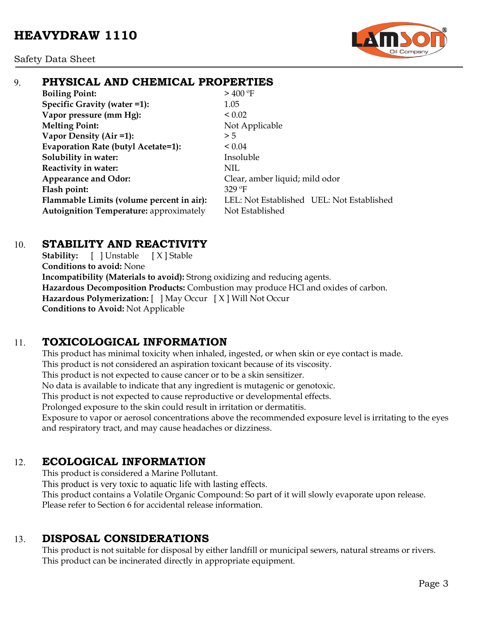

# 9. **PHYSICAL AND CHEMICAL PROPERTIES**

**Boiling Point:**  $> 400^{\circ}$ F **Specific Gravity (water =1):** 1.05 **Vapor pressure (mm Hg):**  $< 0.02$ **Melting Point:** Not Applicable **Vapor Density (Air =1):**  $>5$ **Evaporation Rate (butyl Acetate=1):** < 0.04 **Solubility in water:** Insoluble **Reactivity in water:** NIL Appearance and Odor: Clear, amber liquid; mild odor **Flash point:** 329 ºF Autoignition Temperature: approximately Not Established

**Flammable Limits (volume percent in air):** LEL: Not Established UEL: Not Established

# 10. **STABILITY AND REACTIVITY**

**Stability:** [ ] Unstable [ X ] Stable **Conditions to avoid:** None **Incompatibility (Materials to avoid):** Strong oxidizing and reducing agents. **Hazardous Decomposition Products:** Combustion may produce HCl and oxides of carbon. **Hazardous Polymerization:** [ ] May Occur [ X ] Will Not Occur **Conditions to Avoid:** Not Applicable

# 11. **TOXICOLOGICAL INFORMATION**

This product has minimal toxicity when inhaled, ingested, or when skin or eye contact is made. This product is not considered an aspiration toxicant because of its viscosity. This product is not expected to cause cancer or to be a skin sensitizer. No data is available to indicate that any ingredient is mutagenic or genotoxic. This product is not expected to cause reproductive or developmental effects. Prolonged exposure to the skin could result in irritation or dermatitis. Exposure to vapor or aerosol concentrations above the recommended exposure level is irritating to the eyes

and respiratory tract, and may cause headaches or dizziness.

# 12. **ECOLOGICAL INFORMATION**

This product is considered a Marine Pollutant. This product is very toxic to aquatic life with lasting effects. This product contains a Volatile Organic Compound: So part of it will slowly evaporate upon release. Please refer to Section 6 for accidental release information.

# 13. **DISPOSAL CONSIDERATIONS**

This product is not suitable for disposal by either landfill or municipal sewers, natural streams or rivers. This product can be incinerated directly in appropriate equipment.